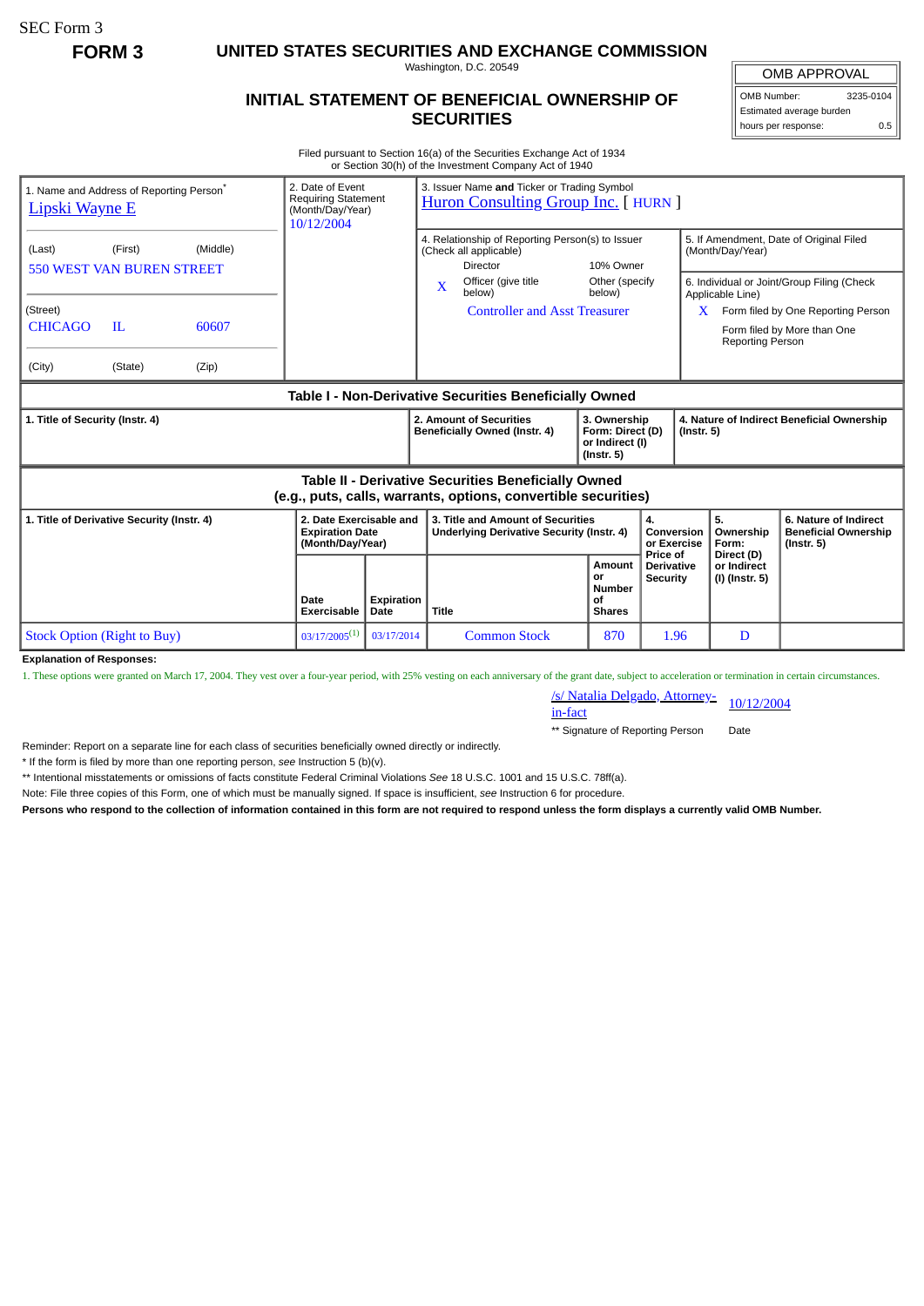SEC Form 3

**FORM 3 UNITED STATES SECURITIES AND EXCHANGE COMMISSION**

Washington, D.C. 20549

## **INITIAL STATEMENT OF BENEFICIAL OWNERSHIP OF SECURITIES**

OMB APPROVAL OMB Number: 3235-0104

Estimated average burden hours per response: 0.5

Filed pursuant to Section 16(a) of the Securities Exchange Act of 1934 or Section 30(h) of the Investment Company Act of 1940

| 1. Name and Address of Reporting Person <sup>®</sup><br>Lipski Wayne E                                                |                                    |       | 3. Issuer Name and Ticker or Trading Symbol<br>2. Date of Event<br><b>Requiring Statement</b><br><b>Huron Consulting Group Inc.</b> [ HURN ]<br>(Month/Day/Year)<br>10/12/2004 |                                                                                               |                                                                                |                                                                         |                                                             |                                                                |                                                                          |
|-----------------------------------------------------------------------------------------------------------------------|------------------------------------|-------|--------------------------------------------------------------------------------------------------------------------------------------------------------------------------------|-----------------------------------------------------------------------------------------------|--------------------------------------------------------------------------------|-------------------------------------------------------------------------|-------------------------------------------------------------|----------------------------------------------------------------|--------------------------------------------------------------------------|
| (First)<br>(Middle)<br>(Last)<br><b>550 WEST VAN BUREN STREET</b>                                                     |                                    |       |                                                                                                                                                                                | 4. Relationship of Reporting Person(s) to Issuer<br>(Check all applicable)<br><b>Director</b> | 10% Owner                                                                      |                                                                         | 5. If Amendment, Date of Original Filed<br>(Month/Day/Year) |                                                                |                                                                          |
|                                                                                                                       |                                    |       |                                                                                                                                                                                |                                                                                               | Officer (give title<br>X<br>below)                                             | Other (specify<br>below)                                                |                                                             | Applicable Line)                                               | 6. Individual or Joint/Group Filing (Check                               |
| (Street)<br><b>CHICAGO</b>                                                                                            | $_{\rm IL}$                        | 60607 |                                                                                                                                                                                |                                                                                               | <b>Controller and Asst Treasurer</b>                                           |                                                                         |                                                             | X<br><b>Reporting Person</b>                                   | Form filed by One Reporting Person<br>Form filed by More than One        |
| (City)                                                                                                                | (State)                            | (Zip) |                                                                                                                                                                                |                                                                                               |                                                                                |                                                                         |                                                             |                                                                |                                                                          |
| Table I - Non-Derivative Securities Beneficially Owned                                                                |                                    |       |                                                                                                                                                                                |                                                                                               |                                                                                |                                                                         |                                                             |                                                                |                                                                          |
| 1. Title of Security (Instr. 4)                                                                                       |                                    |       |                                                                                                                                                                                |                                                                                               | 2. Amount of Securities<br>Beneficially Owned (Instr. 4)                       | 3. Ownership<br>Form: Direct (D)<br>or Indirect (I)<br>$($ lnstr. 5 $)$ |                                                             | 4. Nature of Indirect Beneficial Ownership<br>$($ Instr. 5 $)$ |                                                                          |
| Table II - Derivative Securities Beneficially Owned<br>(e.g., puts, calls, warrants, options, convertible securities) |                                    |       |                                                                                                                                                                                |                                                                                               |                                                                                |                                                                         |                                                             |                                                                |                                                                          |
| 1. Title of Derivative Security (Instr. 4)                                                                            |                                    |       | 2. Date Exercisable and<br><b>Expiration Date</b><br>(Month/Day/Year)                                                                                                          |                                                                                               | 3. Title and Amount of Securities<br>Underlying Derivative Security (Instr. 4) |                                                                         | 4.<br>Conversion<br>or Exercise<br>Price of                 | 5.<br>Ownership<br>Form:                                       | 6. Nature of Indirect<br><b>Beneficial Ownership</b><br>$($ Instr. 5 $)$ |
|                                                                                                                       |                                    |       | Date<br><b>Exercisable</b>                                                                                                                                                     | Expiration<br>Date                                                                            | <b>Title</b>                                                                   | <b>Amount</b><br>or<br><b>Number</b><br>οf<br><b>Shares</b>             | <b>Derivative</b><br><b>Security</b>                        | Direct (D)<br>or Indirect<br>(I) (Instr. 5)                    |                                                                          |
|                                                                                                                       | <b>Stock Option (Right to Buy)</b> |       | $03/17/2005^{(1)}$                                                                                                                                                             | 03/17/2014                                                                                    | <b>Common Stock</b>                                                            | 870                                                                     | 1.96                                                        | D                                                              |                                                                          |
| <b>Explanation of Responses:</b>                                                                                      |                                    |       |                                                                                                                                                                                |                                                                                               |                                                                                |                                                                         |                                                             |                                                                |                                                                          |

**Explanation of Responses:**

1. These options were granted on March 17, 2004. They vest over a four-year period, with 25% vesting on each anniversary of the grant date, subject to acceleration or termination in certain circumstances.

/s/ Natalia Delgado, Attorney-<br>in-fact

\*\* Signature of Reporting Person Date

Reminder: Report on a separate line for each class of securities beneficially owned directly or indirectly.

\* If the form is filed by more than one reporting person, *see* Instruction 5 (b)(v).

\*\* Intentional misstatements or omissions of facts constitute Federal Criminal Violations *See* 18 U.S.C. 1001 and 15 U.S.C. 78ff(a).

Note: File three copies of this Form, one of which must be manually signed. If space is insufficient, *see* Instruction 6 for procedure.

**Persons who respond to the collection of information contained in this form are not required to respond unless the form displays a currently valid OMB Number.**